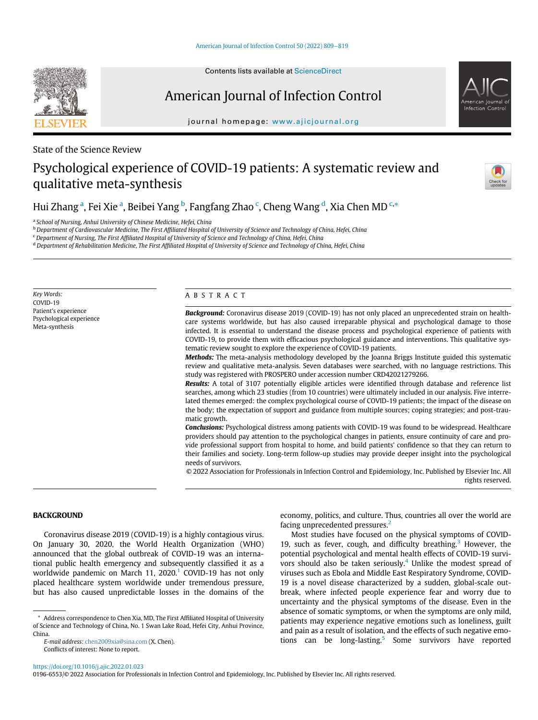# American Journal of Infection Control

journal homepage: [www.ajicjournal.org](http://www.ajicjournal.org)

State of the Science Review

# Psychological experience of COVID-19 patients: A systematic review and qualitative meta-synthesis

Hui Zh[a](#page-0-0)ng <sup>a</sup>, Fei Xie <sup>a</sup>, Bei[b](#page-0-1)ei Yang <sup>b</sup>, Fangfang Zhao <sup>[c](#page-0-2)</sup>, Cheng Wang <sup>[d](#page-0-3)</sup>, Xia Chen MD <sup>c,[\\*](#page-0-4)</sup>

<span id="page-0-0"></span><sup>a</sup> School of Nursing, Anhui University of Chinese Medicine, Hefei, China

<span id="page-0-1"></span>**b Department of Cardiovascular Medicine, The First Affiliated Hospital of University of Science and Technology of China, Hefei, China** 

<span id="page-0-2"></span><sup>c</sup> Department of Nursing, The First Affiliated Hospital of University of Science and Technology of China, Hefei, China

<span id="page-0-3"></span><sup>d</sup> Department of Rehabilitation Medicine, The First Affiliated Hospital of University of Science and Technology of China, Hefei, China

Key Words: COVID-19 Patient's experience Psychological experience Meta-synthesis

#### ABSTRACT

Background: Coronavirus disease 2019 (COVID-19) has not only placed an unprecedented strain on healthcare systems worldwide, but has also caused irreparable physical and psychological damage to those infected. It is essential to understand the disease process and psychological experience of patients with COVID-19, to provide them with efficacious psychological guidance and interventions. This qualitative systematic review sought to explore the experience of COVID-19 patients.

Methods: The meta-analysis methodology developed by the Joanna Briggs Institute guided this systematic review and qualitative meta-analysis. Seven databases were searched, with no language restrictions. This study was registered with PROSPERO under accession number CRD42021279266.

Results: A total of 3107 potentially eligible articles were identified through database and reference list searches, among which 23 studies (from 10 countries) were ultimately included in our analysis. Five interrelated themes emerged: the complex psychological course of COVID-19 patients; the impact of the disease on the body; the expectation of support and guidance from multiple sources; coping strategies; and post-traumatic growth.

**Conclusions:** Psychological distress among patients with COVID-19 was found to be widespread. Healthcare providers should pay attention to the psychological changes in patients, ensure continuity of care and provide professional support from hospital to home, and build patients' confidence so that they can return to their families and society. Long-term follow-up studies may provide deeper insight into the psychological needs of survivors.

© 2022 Association for Professionals in Infection Control and Epidemiology, Inc. Published by Elsevier Inc. All

rights reserved.

BACKGROUND

Coronavirus disease 2019 (COVID-19) is a highly contagious virus. On January 30, 2020, the World Health Organization (WHO) announced that the global outbreak of COVID-19 was an international public health emergency and subsequently classified it as a worldwide pandemic on March [1](#page-6-0)1,  $2020<sup>1</sup>$  COVID-19 has not only placed healthcare system worldwide under tremendous pressure, but has also caused unpredictable losses in the domains of the

<span id="page-0-4"></span>\* Address correspondence to Chen Xia, MD, The First Affiliated Hospital of University of Science and Technology of China, No. 1 Swan Lake Road, Hefei City, Anhui Province, China.

E-mail address: [chen2009xia@sina.com](mailto:chen2009xia@sina.com) (X. Chen). Conflicts of interest: None to report.

economy, politics, and culture. Thus, countries all over the world are facing unprecedented pressures.[2](#page-6-1)

Most studies have focused on the physical symptoms of COVID-19, such as fever, cough, and difficulty breathing.<sup>[3](#page-6-2)</sup> However, the potential psychological and mental health effects of COVID-19 survi-vors should also be taken seriously.<sup>[4](#page-6-3)</sup> Unlike the modest spread of viruses such as Ebola and Middle East Respiratory Syndrome, COVID-19 is a novel disease characterized by a sudden, global-scale outbreak, where infected people experience fear and worry due to uncertainty and the physical symptoms of the disease. Even in the absence of somatic symptoms, or when the symptoms are only mild, patients may experience negative emotions such as loneliness, guilt and pain as a result of isolation, and the effects of such negative emo-tions can be long-lasting.<sup>[5](#page-6-4)</sup> Some survivors have reported





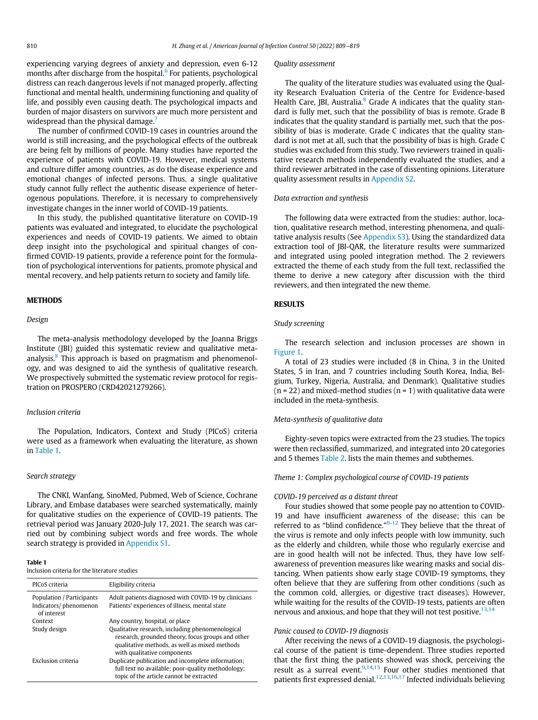experiencing varying degrees of anxiety and depression, even 6-12 months after discharge from the hospital.<sup>[6](#page-6-5)</sup> For patients, psychological distress can reach dangerous levels if not managed properly, affecting functional and mental health, undermining functioning and quality of life, and possibly even causing death. The psychological impacts and burden of major disasters on survivors are much more persistent and widespread than the physical damage.<sup>[7](#page-6-6)</sup>

The number of confirmed COVID-19 cases in countries around the world is still increasing, and the psychological effects of the outbreak are being felt by millions of people. Many studies have reported the experience of patients with COVID-19. However, medical systems and culture differ among countries, as do the disease experience and emotional changes of infected persons. Thus, a single qualitative study cannot fully reflect the authentic disease experience of heterogenous populations. Therefore, it is necessary to comprehensively investigate changes in the inner world of COVID-19 patients.

In this study, the published quantitative literature on COVID-19 patients was evaluated and integrated, to elucidate the psychological experiences and needs of COVID-19 patients. We aimed to obtain deep insight into the psychological and spiritual changes of confirmed COVID-19 patients, provide a reference point for the formulation of psychological interventions for patients, promote physical and mental recovery, and help patients return to society and family life.

## **METHODS**

#### Design

The meta-analysis methodology developed by the Joanna Briggs Institute (JBI) guided this systematic review and qualitative meta-analysis.<sup>[8](#page-6-7)</sup> This approach is based on pragmatism and phenomenology, and was designed to aid the synthesis of qualitative research. We prospectively submitted the systematic review protocol for registration on PROSPERO (CRD42021279266).

#### Inclusion criteria

The Population, Indicators, Context and Study (PICoS) criteria were used as a framework when evaluating the literature, as shown in [Table 1](#page-1-0).

#### Search strategy

The CNKI, Wanfang, SinoMed, Pubmed, Web of Science, Cochrane Library, and Embase databases were searched systematically, mainly for qualitative studies on the experience of COVID-19 patients. The retrieval period was January 2020-July 17, 2021. The search was carried out by combining subject words and free words. The whole search strategy is provided in [Appendix S1](#page-8-0).

### <span id="page-1-0"></span>Table 1

Inclusion criteria for the literature studies

| PICoS criteria                                                    | Eligibility criteria                                                                                                                                                                  |
|-------------------------------------------------------------------|---------------------------------------------------------------------------------------------------------------------------------------------------------------------------------------|
| Population / Participants<br>Indicators/phenomenon<br>of interest | Adult patients diagnosed with COVID-19 by clinicians<br>Patients' experiences of illness, mental state                                                                                |
| Context                                                           | Any country, hospital, or place                                                                                                                                                       |
| Study design                                                      | Qualitative research, including phenomenological<br>research, grounded theory, focus groups and other<br>qualitative methods, as well as mixed methods<br>with qualitative components |
| Exclusion criteria                                                | Duplicate publication and incomplete information;<br>full text no available; poor-quality methodology;<br>topic of the article cannot be extracted                                    |

#### Quality assessment

The quality of the literature studies was evaluated using the Quality Research Evaluation Criteria of the Centre for Evidence-based Health Care, JBI, Australia.<sup>[8](#page-6-7)</sup> Grade A indicates that the quality standard is fully met, such that the possibility of bias is remote. Grade B indicates that the quality standard is partially met, such that the possibility of bias is moderate. Grade C indicates that the quality standard is not met at all, such that the possibility of bias is high. Grade C studies was excluded from this study. Two reviewers trained in qualitative research methods independently evaluated the studies, and a third reviewer arbitrated in the case of dissenting opinions. Literature quality assessment results in [Appendix S2.](#page-8-1)

#### Data extraction and synthesis

The following data were extracted from the studies: author, location, qualitative research method, interesting phenomena, and qualitative analysis results (See [Appendix S3](#page-9-0)). Using the standardized data extraction tool of JBI-QAR, the literature results were summarized and integrated using pooled integration method. The 2 reviewers extracted the theme of each study from the full text, reclassified the theme to derive a new category after discussion with the third reviewers, and then integrated the new theme.

#### RESULTS

#### Study screening

The research selection and inclusion processes are shown in [Figure 1](#page-2-0).

A total of 23 studies were included (8 in China, 3 in the United States, 5 in Iran, and 7 countries including South Korea, India, Belgium, Turkey, Nigeria, Australia, and Denmark). Qualitative studies  $(n = 22)$  and mixed-method studies  $(n = 1)$  with qualitative data were included in the meta-synthesis.

#### Meta-synthesis of qualitative data

Eighty-seven topics were extracted from the 23 studies. The topics were then reclassified, summarized, and integrated into 20 categories and 5 themes [Table 2.](#page-2-1) lists the main themes and subthemes.

#### Theme 1: Complex psychological course of COVID-19 patients

#### COVID-19 perceived as a distant threat

Four studies showed that some people pay no attention to COVID-19 and have insufficient awareness of the disease; this can be referred to as "blind confidence." $9-12$  They believe that the threat of the virus is remote and only infects people with low immunity, such as the elderly and children, while those who regularly exercise and are in good health will not be infected. Thus, they have low selfawareness of prevention measures like wearing masks and social distancing. When patients show early stage COVID-19 symptoms, they often believe that they are suffering from other conditions (such as the common cold, allergies, or digestive tract diseases). However, while waiting for the results of the COVID-19 tests, patients are often nervous and anxious, and hope that they will not test positive.  $13,14$  $13,14$ 

#### Panic caused to COVID-19 diagnosis

After receiving the news of a COVID-19 diagnosis, the psychological course of the patient is time-dependent. Three studies reported that the first thing the patients showed was shock, perceiving the result as a surreal event.<sup>[9](#page-6-8)[,14](#page-6-10),[15](#page-6-11)</sup> Four other studies mentioned that patients first expressed denial.[12,](#page-6-12)[13](#page-6-9)[,16](#page-6-13)[,17](#page-6-14) Infected individuals believing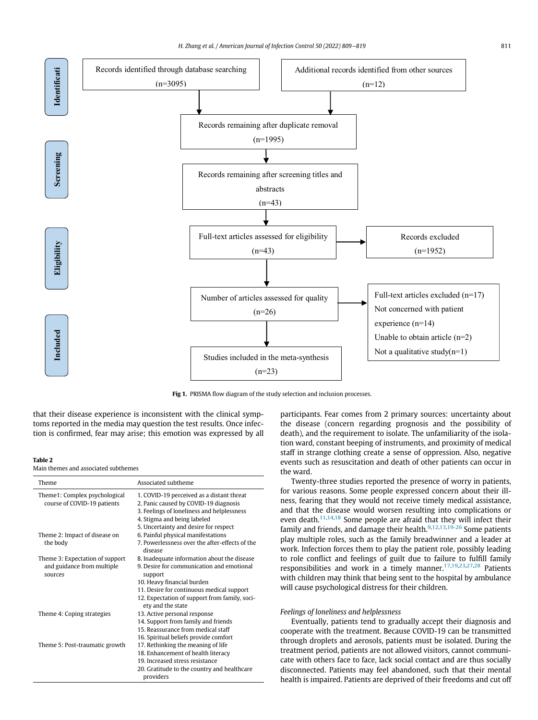<span id="page-2-0"></span>

Fig 1. PRISMA flow diagram of the study selection and inclusion processes.

that their disease experience is inconsistent with the clinical symptoms reported in the media may question the test results. Once infection is confirmed, fear may arise; this emotion was expressed by all

#### <span id="page-2-1"></span>Table 2

#### Main themes and associated subthemes

| Theme                                                                    | Associated subtheme                                                                                                                                                                                                                                  |
|--------------------------------------------------------------------------|------------------------------------------------------------------------------------------------------------------------------------------------------------------------------------------------------------------------------------------------------|
| Theme1: Complex psychological<br>course of COVID-19 patients             | 1. COVID-19 perceived as a distant threat<br>2. Panic caused by COVID-19 diagnosis<br>3. Feelings of loneliness and helplessness<br>4. Stigma and being labeled<br>5. Uncertainty and desire for respect                                             |
| Theme 2: Impact of disease on<br>the body                                | 6. Painful physical manifestations<br>7 Powerlessness over the after-effects of the<br>disease                                                                                                                                                       |
| Theme 3: Expectation of support<br>and guidance from multiple<br>sources | 8. Inadequate information about the disease<br>9. Desire for communication and emotional<br>support<br>10. Heavy financial burden<br>11. Desire for continuous medical support<br>12. Expectation of support from family, soci-<br>ety and the state |
| Theme 4: Coping strategies                                               | 13. Active personal response<br>14. Support from family and friends<br>15. Reassurance from medical staff<br>16. Spiritual beliefs provide comfort                                                                                                   |
| Theme 5: Post-traumatic growth                                           | 17. Rethinking the meaning of life<br>18. Enhancement of health literacy<br>19 Increased stress resistance<br>20. Gratitude to the country and healthcare<br>providers                                                                               |

participants. Fear comes from 2 primary sources: uncertainty about the disease (concern regarding prognosis and the possibility of death), and the requirement to isolate. The unfamiliarity of the isolation ward, constant beeping of instruments, and proximity of medical staff in strange clothing create a sense of oppression. Also, negative events such as resuscitation and death of other patients can occur in the ward.

Twenty-three studies reported the presence of worry in patients, for various reasons. Some people expressed concern about their illness, fearing that they would not receive timely medical assistance, and that the disease would worsen resulting into complications or even death. $11,14,18$  $11,14,18$  $11,14,18$  $11,14,18$  Some people are afraid that they will infect their family and friends, and damage their health.<sup>[9,](#page-6-8)[12,](#page-6-12)[13](#page-6-9)[,19-26](#page-6-17)</sup> Some patients play multiple roles, such as the family breadwinner and a leader at work. Infection forces them to play the patient role, possibly leading to role conflict and feelings of guilt due to failure to fulfill family responsibilities and work in a timely manner.<sup>[17,](#page-6-14)[19](#page-6-17)[,23](#page-6-18)[,27](#page-6-19),[28](#page-6-20)</sup> Patients with children may think that being sent to the hospital by ambulance will cause psychological distress for their children.

#### Feelings of loneliness and helplessness

Eventually, patients tend to gradually accept their diagnosis and cooperate with the treatment. Because COVID-19 can be transmitted through droplets and aerosols, patients must be isolated. During the treatment period, patients are not allowed visitors, cannot communicate with others face to face, lack social contact and are thus socially disconnected. Patients may feel abandoned, such that their mental health is impaired. Patients are deprived of their freedoms and cut off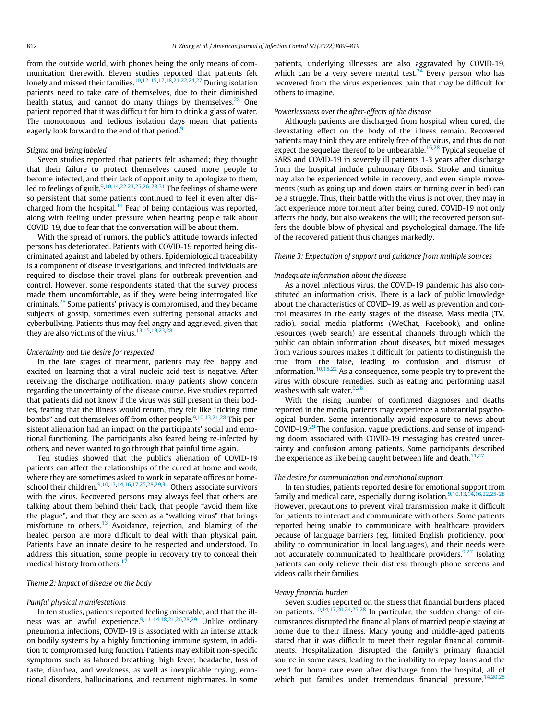from the outside world, with phones being the only means of communication therewith. Eleven studies reported that patients felt lonely and missed their families.<sup>[10](#page-6-21),[12-15,](#page-6-12)[17](#page-6-14)[,18](#page-6-16),[21](#page-6-22),[22,](#page-6-23)[24,](#page-6-24)[27](#page-6-19)</sup> During isolation patients need to take care of themselves, due to their diminished health status, and cannot do many things by themselves. $28$  One patient reported that it was difficult for him to drink a glass of water. The monotonous and tedious isolation days mean that patients eagerly look forward to the end of that period.<sup>[9](#page-6-8)</sup>

#### Stigma and being labeled

Seven studies reported that patients felt ashamed; they thought that their failure to protect themselves caused more people to become infected, and their lack of opportunity to apologize to them, led to feelings of guilt.<sup>[9,](#page-6-8)[10](#page-6-21)[,14](#page-6-10),[22](#page-6-23),[23,](#page-6-18)[25,](#page-6-25)[26-28](#page-6-26),[31](#page-7-0)</sup> The feelings of shame were so persistent that some patients continued to feel it even after dis-charged from the hospital.<sup>[14](#page-6-10)</sup> Fear of being contagious was reported, along with feeling under pressure when hearing people talk about COVID-19, due to fear that the conversation will be about them.

With the spread of rumors, the public's attitude towards infected persons has deteriorated. Patients with COVID-19 reported being discriminated against and labeled by others. Epidemiological traceability is a component of disease investigations, and infected individuals are required to disclose their travel plans for outbreak prevention and control. However, some respondents stated that the survey process made them uncomfortable, as if they were being interrogated like criminals.[28](#page-6-20) Some patients' privacy is compromised, and they became subjects of gossip, sometimes even suffering personal attacks and cyberbullying. Patients thus may feel angry and aggrieved, given that they are also victims of the virus.<sup>[13,](#page-6-9)[15](#page-6-11)[,19](#page-6-17),[23](#page-6-18)</sup>

#### Uncertainty and the desire for respected

In the late stages of treatment, patients may feel happy and excited on learning that a viral nucleic acid test is negative. After receiving the discharge notification, many patients show concern regarding the uncertainty of the disease course. Five studies reported that patients did not know if the virus was still present in their bodies, fearing that the illness would return, they felt like "ticking time bombs" and cut themselves off from other people.<sup>[9](#page-6-8)[,10](#page-6-21),[13,](#page-6-9)[21,](#page-6-22)[28](#page-6-20)</sup> This persistent alienation had an impact on the participants' social and emotional functioning. The participants also feared being re-infected by others, and never wanted to go through that painful time again.

Ten studies showed that the public's alienation of COVID-19 patients can affect the relationships of the cured at home and work, where they are sometimes asked to work in separate offices or home-school their children.<sup>[9](#page-6-8),[10,](#page-6-21)[13](#page-6-9)[,14](#page-6-10)[,16](#page-6-13),[17,](#page-6-14)[25,](#page-6-25)[28](#page-6-20)[,29](#page-6-27),[31](#page-7-0)</sup> Others associate survivors with the virus. Recovered persons may always feel that others are talking about them behind their back, that people "avoid them like the plague", and that they are seen as a "walking virus" that brings misfortune to others.<sup>[13](#page-6-9)</sup> Avoidance, rejection, and blaming of the healed person are more difficult to deal with than physical pain. Patients have an innate desire to be respected and understood. To address this situation, some people in recovery try to conceal their medical history from others.<sup>1</sup>

#### Theme 2: Impact of disease on the body

#### Painful physical manifestations

In ten studies, patients reported feeling miserable, and that the ill-ness was an awful experience.<sup>[9,](#page-6-8)[11-14](#page-6-15),[18,](#page-6-16)[21,](#page-6-22)[26](#page-6-26)[,28](#page-6-20),[29](#page-6-27)</sup> Unlike ordinary pneumonia infections, COVID-19 is associated with an intense attack on bodily systems by a highly functioning immune system, in addition to compromised lung function. Patients may exhibit non-specific symptoms such as labored breathing, high fever, headache, loss of taste, diarrhea, and weakness, as well as inexplicable crying, emotional disorders, hallucinations, and recurrent nightmares. In some

patients, underlying illnesses are also aggravated by COVID-19, which can be a very severe mental test.<sup>24</sup> Every person who has recovered from the virus experiences pain that may be difficult for others to imagine.

#### Powerlessness over the after-effects of the disease

Although patients are discharged from hospital when cured, the devastating effect on the body of the illness remain. Recovered patients may think they are entirely free of the virus, and thus do not expect the sequelae thereof to be unbearable.<sup>[16](#page-6-13)[,28](#page-6-20)</sup> Typical sequelae of SARS and COVID-19 in severely ill patients 1-3 years after discharge from the hospital include pulmonary fibrosis. Stroke and tinnitus may also be experienced while in recovery, and even simple movements (such as going up and down stairs or turning over in bed) can be a struggle. Thus, their battle with the virus is not over, they may in fact experience more torment after being cured. COVID-19 not only affects the body, but also weakens the will; the recovered person suffers the double blow of physical and psychological damage. The life of the recovered patient thus changes markedly.

#### Theme 3: Expectation of support and guidance from multiple sources

#### Inadequate information about the disease

As a novel infectious virus, the COVID-19 pandemic has also constituted an information crisis. There is a lack of public knowledge about the characteristics of COVID-19, as well as prevention and control measures in the early stages of the disease. Mass media (TV, radio), social media platforms (WeChat, Facebook), and online resources (web search) are essential channels through which the public can obtain information about diseases, but mixed messages from various sources makes it difficult for patients to distinguish the true from the false, leading to confusion and distrust of information.[10](#page-6-21),[15](#page-6-11),[22](#page-6-23) As a consequence, some people try to prevent the virus with obscure remedies, such as eating and performing nasal washes with salt water. $9,28$  $9,28$ 

With the rising number of confirmed diagnoses and deaths reported in the media, patients may experience a substantial psychological burden. Some intentionally avoid exposure to news about COVID-19.[29](#page-6-27) The confusion, vague predictions, and sense of impending doom associated with COVID-19 messaging has created uncertainty and confusion among patients. Some participants described the experience as like being caught between life and death.<sup>[11](#page-6-15),[27](#page-6-19)</sup>

#### The desire for communication and emotional support

In ten studies, patients reported desire for emotional support from family and medical care, especially during isolation.<sup>[9,](#page-6-8)[10](#page-6-21)[,13](#page-6-9)[,14](#page-6-10),[16](#page-6-13),[22,](#page-6-23)[25-28](#page-6-25)</sup> However, precautions to prevent viral transmission make it difficult for patients to interact and communicate with others. Some patients reported being unable to communicate with healthcare providers because of language barriers (eg, limited English proficiency, poor ability to communication in local languages), and their needs were not accurately communicated to healthcare providers. $9,27$  $9,27$  $9,27$  Isolating patients can only relieve their distress through phone screens and videos calls their families.

#### Heavy financial burden

Seven studies reported on the stress that financial burdens placed on patients.[10,](#page-6-21)[14](#page-6-10)[,17](#page-6-14),[20](#page-6-28),[24,](#page-6-24)[25](#page-6-25)[,28](#page-6-20) In particular, the sudden change of circumstances disrupted the financial plans of married people staying at home due to their illness. Many young and middle-aged patients stated that it was difficult to meet their regular financial commitments. Hospitalization disrupted the family's primary financial source in some cases, leading to the inability to repay loans and the need for home care even after discharge from the hospital, all of which put families under tremendous financial pressure.<sup>[14,](#page-6-10)[20](#page-6-28)[,25](#page-6-25)</sup>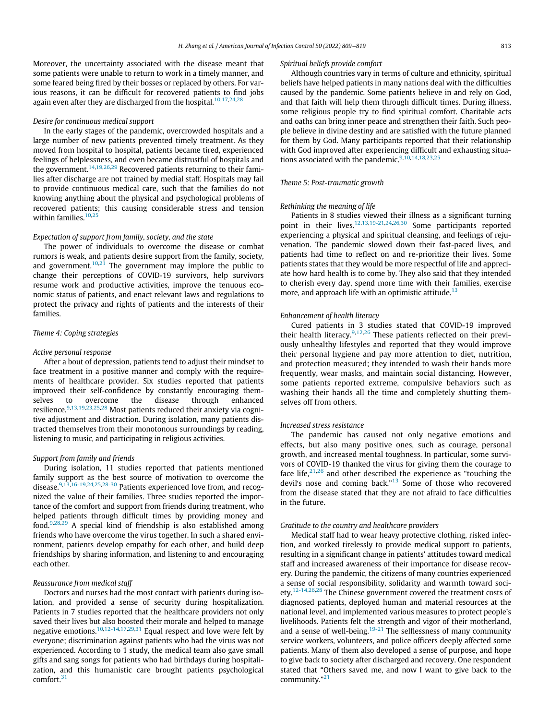Moreover, the uncertainty associated with the disease meant that some patients were unable to return to work in a timely manner, and some feared being fired by their bosses or replaced by others. For various reasons, it can be difficult for recovered patients to find jobs again even after they are discharged from the hospital.<sup>[10,](#page-6-21)[17](#page-6-14)[,24](#page-6-24),2</sup>

#### Desire for continuous medical support

In the early stages of the pandemic, overcrowded hospitals and a large number of new patients prevented timely treatment. As they moved from hospital to hospital, patients became tired, experienced feelings of helplessness, and even became distrustful of hospitals and the government.<sup>[14](#page-6-10)[,19](#page-6-17),[26,](#page-6-26)[29](#page-6-27)</sup> Recovered patients returning to their families after discharge are not trained by medial staff. Hospitals may fail to provide continuous medical care, such that the families do not knowing anything about the physical and psychological problems of recovered patients; this causing considerable stress and tension within families.<sup>[10](#page-6-21)[,25](#page-6-25)</sup>

#### Expectation of support from family, society, and the state

The power of individuals to overcome the disease or combat rumors is weak, and patients desire support from the family, society, and government.<sup>[10,](#page-6-21)[21](#page-6-22)</sup> The government may implore the public to change their perceptions of COVID-19 survivors, help survivors resume work and productive activities, improve the tenuous economic status of patients, and enact relevant laws and regulations to protect the privacy and rights of patients and the interests of their families.

#### Theme 4: Coping strategies

#### Active personal response

After a bout of depression, patients tend to adjust their mindset to face treatment in a positive manner and comply with the requirements of healthcare provider. Six studies reported that patients improved their self-confidence by constantly encouraging themselves to overcome the disease through enhanced resilience.<sup>[9,](#page-6-8)[13](#page-6-9)[,19](#page-6-17),[23](#page-6-18),[25,](#page-6-25)[28](#page-6-20)</sup> Most patients reduced their anxiety via cognitive adjustment and distraction. During isolation, many patients distracted themselves from their monotonous surroundings by reading, listening to music, and participating in religious activities.

#### Support from family and friends

During isolation, 11 studies reported that patients mentioned family support as the best source of motivation to overcome the disease.[9,](#page-6-8)[13,](#page-6-9)[16-19](#page-6-13),[24](#page-6-24),[25,](#page-6-25)[28-30](#page-6-20) Patients experienced love from, and recognized the value of their families. Three studies reported the importance of the comfort and support from friends during treatment, who helped patients through difficult times by providing money and food. $9,28,29$  $9,28,29$  $9,28,29$  $9,28,29$  A special kind of friendship is also established among friends who have overcome the virus together. In such a shared environment, patients develop empathy for each other, and build deep friendships by sharing information, and listening to and encouraging each other.

#### Reassurance from medical staff

Doctors and nurses had the most contact with patients during isolation, and provided a sense of security during hospitalization. Patients in 7 studies reported that the healthcare providers not only saved their lives but also boosted their morale and helped to manage negative emotions.<sup>[10](#page-6-21)[,12-14,](#page-6-12)[17](#page-6-14)[,29](#page-6-27)[,31](#page-7-0)</sup> Equal respect and love were felt by everyone; discrimination against patients who had the virus was not experienced. According to 1 study, the medical team also gave small gifts and sang songs for patients who had birthdays during hospitalization, and this humanistic care brought patients psychological comfort.[31](#page-7-0)

#### Spiritual beliefs provide comfort

Although countries vary in terms of culture and ethnicity, spiritual beliefs have helped patients in many nations deal with the difficulties caused by the pandemic. Some patients believe in and rely on God, and that faith will help them through difficult times. During illness, some religious people try to find spiritual comfort. Charitable acts and oaths can bring inner peace and strengthen their faith. Such people believe in divine destiny and are satisfied with the future planned for them by God. Many participants reported that their relationship with God improved after experiencing difficult and exhausting situa-tions associated with the pandemic.<sup>[9,](#page-6-8)[10](#page-6-21)[,14](#page-6-10),[18](#page-6-16),[23,](#page-6-18)[25](#page-6-25)</sup>

#### Theme 5: Post-traumatic growth

#### Rethinking the meaning of life

Patients in 8 studies viewed their illness as a significant turning point in their lives.<sup>[12](#page-6-12),[13](#page-6-9),[19-21](#page-6-17)[,24](#page-6-24),[26](#page-6-26),[30](#page-7-1)</sup> Some participants reported experiencing a physical and spiritual cleansing, and feelings of rejuvenation. The pandemic slowed down their fast-paced lives, and patients had time to reflect on and re-prioritize their lives. Some patients states that they would be more respectful of life and appreciate how hard health is to come by. They also said that they intended to cherish every day, spend more time with their families, exercise more, and approach life with an optimistic attitude.<sup>[13](#page-6-9)</sup>

#### Enhancement of health literacy

Cured patients in 3 studies stated that COVID-19 improved their health literacy.<sup>[9](#page-6-8)[,12](#page-6-12),[26](#page-6-26)</sup> These patients reflected on their previously unhealthy lifestyles and reported that they would improve their personal hygiene and pay more attention to diet, nutrition, and protection measured; they intended to wash their hands more frequently, wear masks, and maintain social distancing. However, some patients reported extreme, compulsive behaviors such as washing their hands all the time and completely shutting themselves off from others.

#### Increased stress resistance

The pandemic has caused not only negative emotions and effects, but also many positive ones, such as courage, personal growth, and increased mental toughness. In particular, some survivors of COVID-19 thanked the virus for giving them the courage to face life, $2^{1,26}$  $2^{1,26}$  $2^{1,26}$  and other described the experience as "touching the devil's nose and coming back."<sup>[13](#page-6-9)</sup> Some of those who recovered from the disease stated that they are not afraid to face difficulties in the future.

### Gratitude to the country and healthcare providers

Medical staff had to wear heavy protective clothing, risked infection, and worked tirelessly to provide medical support to patients, resulting in a significant change in patients' attitudes toward medical staff and increased awareness of their importance for disease recovery. During the pandemic, the citizens of many countries experienced a sense of social responsibility, solidarity and warmth toward soci-ety.<sup>[12-14](#page-6-12),[26](#page-6-26),[28](#page-6-20)</sup> The Chinese government covered the treatment costs of diagnosed patients, deployed human and material resources at the national level, and implemented various measures to protect people's livelihoods. Patients felt the strength and vigor of their motherland, and a sense of well-being.<sup>[19-21](#page-6-17)</sup> The selflessness of many community service workers, volunteers, and police officers deeply affected some patients. Many of them also developed a sense of purpose, and hope to give back to society after discharged and recovery. One respondent stated that "Others saved me, and now I want to give back to the community."<sup>[21](#page-6-22)</sup>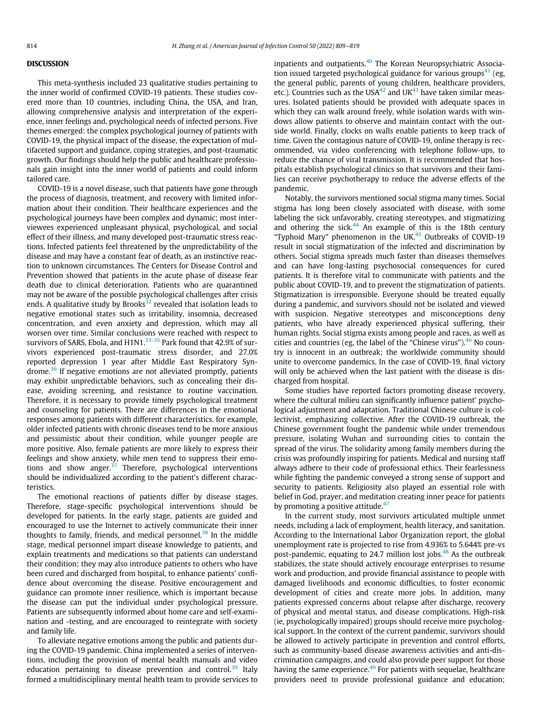#### DISCUSSION

This meta-synthesis included 23 qualitative studies pertaining to the inner world of confirmed COVID-19 patients. These studies covered more than 10 countries, including China, the USA, and Iran, allowing comprehensive analysis and interpretation of the experience, inner feelings and, psychological needs of infected persons. Five themes emerged: the complex psychological journey of patients with COVID-19, the physical impact of the disease, the expectation of multifaceted support and guidance, coping strategies, and post-traumatic growth. Our findings should help the public and healthcare professionals gain insight into the inner world of patients and could inform tailored care.

COVID-19 is a novel disease, such that patients have gone through the process of diagnosis, treatment, and recovery with limited information about their condition. Their healthcare experiences and the psychological journeys have been complex and dynamic; most interviewees experienced unpleasant physical, psychological, and social effect of their illness, and many developed post-traumatic stress reactions. Infected patients feel threatened by the unpredictability of the disease and may have a constant fear of death, as an instinctive reaction to unknown circumstances. The Centers for Disease Control and Prevention showed that patients in the acute phase of disease fear death due to clinical deterioration. Patients who are quarantined may not be aware of the possible psychological challenges after crisis ends. A qualitative study by Brooks $32$  revealed that isolation leads to negative emotional states such as irritability, insomnia, decreased concentration, and even anxiety and depression, which may all worsen over time. Similar conclusions were reached with respect to survivors of SARS, Ebola, and H1N1. $^{33-35}$  $^{33-35}$  $^{33-35}$  Park found that 42.9% of survivors experienced post-traumatic stress disorder, and 27.0% reported depression 1 year after Middle East Respiratory Syndrome.[36](#page-7-4) If negative emotions are not alleviated promptly, patients may exhibit unpredictable behaviors, such as concealing their disease, avoiding screening, and resistance to routine vaccination. Therefore, it is necessary to provide timely psychological treatment and counseling for patients. There are differences in the emotional responses among patients with different characteristics. for example, older infected patients with chronic diseases tend to be more anxious and pessimistic about their condition, while younger people are more positive. Also, female patients are more likely to express their feelings and show anxiety, while men tend to suppress their emotions and show anger. $37$  Therefore, psychological interventions should be individualized according to the patient's different characteristics.

The emotional reactions of patients differ by disease stages. Therefore, stage-specific psychological interventions should be developed for patients. In the early stage, patients are guided and encouraged to use the Internet to actively communicate their inner thoughts to family, friends, and medical personnel.<sup>[38](#page-7-6)</sup> In the middle stage, medical personnel impart disease knowledge to patients, and explain treatments and medications so that patients can understand their condition; they may also introduce patients to others who have been cured and discharged from hospital, to enhance patients' confidence about overcoming the disease. Positive encouragement and guidance can promote inner resilience, which is important because the disease can put the individual under psychological pressure. Patients are subsequently informed about home care and self-examination and -testing, and are encouraged to reintegrate with society and family life.

To alleviate negative emotions among the public and patients during the COVID-19 pandemic. China implemented a series of interventions, including the provision of mental health manuals and video education pertaining to disease prevention and control.<sup>[39](#page-7-7)</sup> Italy formed a multidisciplinary mental health team to provide services to inpatients and outpatients.<sup>[40](#page-7-8)</sup> The Korean Neuropsychiatric Associa-tion issued targeted psychological guidance for various groups<sup>[41](#page-7-9)</sup> (eg, the general public, parents of young children, healthcare providers, etc.). Countries such as the USA $42$  and UK $43$  have taken similar measures. Isolated patients should be provided with adequate spaces in which they can walk around freely, while isolation wards with windows allow patients to observe and maintain contact with the outside world. Finally, clocks on walls enable patients to keep track of time. Given the contagious nature of COVID-19, online therapy is recommended, via video conferencing with telephone follow-ups, to reduce the chance of viral transmission. It is recommended that hospitals establish psychological clinics so that survivors and their families can receive psychotherapy to reduce the adverse effects of the pandemic.

Notably, the survivors mentioned social stigma many times. Social stigma has long been closely associated with disease, with some labeling the sick unfavorably, creating stereotypes, and stigmatizing and othering the sick. $44$  An example of this is the 18th century "Typhoid Mary" phenomenon in the UK $.45$  $.45$  Outbreaks of COVID-19 result in social stigmatization of the infected and discrimination by others. Social stigma spreads much faster than diseases themselves and can have long-lasting psychosocial consequences for cured patients. It is therefore vital to communicate with patients and the public about COVID-19, and to prevent the stigmatization of patients. Stigmatization is irresponsible. Everyone should be treated equally during a pandemic, and survivors should not be isolated and viewed with suspicion. Negative stereotypes and misconceptions deny patients, who have already experienced physical suffering, their human rights. Social stigma exists among people and races, as well as cities and countries (eg, the label of the "Chinese virus"). $46$  No country is innocent in an outbreak; the worldwide community should unite to overcome pandemics. In the case of COVID-19, final victory will only be achieved when the last patient with the disease is discharged from hospital.

Some studies have reported factors promoting disease recovery, where the cultural milieu can significantly influence patient' psychological adjustment and adaptation. Traditional Chinese culture is collectivist, emphasizing collective. After the COVID-19 outbreak, the Chinese government fought the pandemic while under tremendous pressure, isolating Wuhan and surrounding cities to contain the spread of the virus. The solidarity among family members during the crisis was profoundly inspiring for patients. Medical and nursing staff always adhere to their code of professional ethics. Their fearlessness while fighting the pandemic conveyed a strong sense of support and security to patients. Religiosity also played an essential role with belief in God, prayer, and meditation creating inner peace for patients by promoting a positive attitude. $47$ 

In the current study, most survivors articulated multiple unmet needs, including a lack of employment, health literacy, and sanitation. According to the International Labor Organization report, the global unemployment rate is projected to rise from 4.936% to 5.644% pre-vs post-pandemic, equating to 24.7 million lost jobs. $48$  As the outbreak stabilizes, the state should actively encourage enterprises to resume work and production, and provide financial assistance to people with damaged livelihoods and economic difficulties, to foster economic development of cities and create more jobs. In addition, many patients expressed concerns about relapse after discharge, recovery of physical and mental status, and disease complications. High-risk (ie, psychologically impaired) groups should receive more psychological support. In the context of the current pandemic, survivors should be allowed to actively participate in prevention and control efforts, such as community-based disease awareness activities and anti-discrimination campaigns, and could also provide peer support for those having the same experience.<sup>[49](#page-7-17)</sup> For patients with sequelae, healthcare providers need to provide professional guidance and education;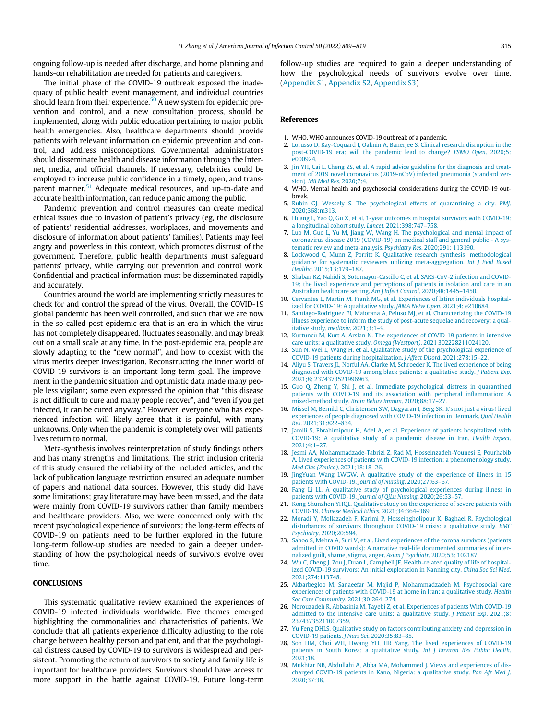ongoing follow-up is needed after discharge, and home planning and hands-on rehabilitation are needed for patients and caregivers.

<span id="page-6-1"></span><span id="page-6-0"></span>The initial phase of the COVID-19 outbreak exposed the inadequacy of public health event management, and individual countries should learn from their experience. $50$  A new system for epidemic prevention and control, and a new consultation process, should be implemented, along with public education pertaining to major public health emergencies. Also, healthcare departments should provide patients with relevant information on epidemic prevention and control, and address misconceptions. Governmental administrators should disseminate health and disease information through the Internet, media, and official channels. If necessary, celebrities could be employed to increase public confidence in a timely, open, and trans-parent manner.<sup>[51](#page-7-19)</sup> Adequate medical resources, and up-to-date and accurate health information, can reduce panic among the public.

<span id="page-6-6"></span><span id="page-6-5"></span><span id="page-6-4"></span><span id="page-6-3"></span><span id="page-6-2"></span>Pandemic prevention and control measures can create medical ethical issues due to invasion of patient's privacy (eg, the disclosure of patients' residential addresses, workplaces, and movements and disclosure of information about patients' families). Patients may feel angry and powerless in this context, which promotes distrust of the government. Therefore, public health departments must safeguard patients' privacy, while carrying out prevention and control work. Confidential and practical information must be disseminated rapidly and accurately.

<span id="page-6-21"></span><span id="page-6-15"></span><span id="page-6-12"></span><span id="page-6-10"></span><span id="page-6-9"></span><span id="page-6-8"></span><span id="page-6-7"></span>Countries around the world are implementing strictly measures to check for and control the spread of the virus. Overall, the COVID-19 global pandemic has been well controlled, and such that we are now in the so-called post-epidemic era that is an era in which the virus has not completely disappeared, fluctuates seasonally, and may break out on a small scale at any time. In the post-epidemic era, people are slowly adapting to the "new normal", and how to coexist with the virus merits deeper investigation. Reconstructing the inner world of COVID-19 survivors is an important long-term goal. The improvement in the pandemic situation and optimistic data made many people less vigilant; some even expressed the opinion that "this disease is not difficult to cure and many people recover", and "even if you get infected, it can be cured anyway." However, everyone who has experienced infection will likely agree that it is painful, with many unknowns. Only when the pandemic is completely over will patients' lives return to normal.

<span id="page-6-28"></span><span id="page-6-22"></span><span id="page-6-17"></span><span id="page-6-16"></span><span id="page-6-14"></span><span id="page-6-13"></span><span id="page-6-11"></span>Meta-synthesis involves reinterpretation of study findings others and has many strengths and limitations. The strict inclusion criteria of this study ensured the reliability of the included articles, and the lack of publication language restriction ensured an adequate number of papers and national data sources. However, this study did have some limitations; gray literature may have been missed, and the data were mainly from COVID-19 survivors rather than family members and healthcare providers. Also, we were concerned only with the recent psychological experience of survivors; the long-term effects of COVID-19 on patients need to be further explored in the future. Long-term follow-up studies are needed to gain a deeper understanding of how the psychological needs of survivors evolve over time.

### <span id="page-6-25"></span><span id="page-6-24"></span><span id="page-6-23"></span><span id="page-6-18"></span>**CONCLUSIONS**

<span id="page-6-27"></span><span id="page-6-26"></span><span id="page-6-20"></span><span id="page-6-19"></span>This systematic qualitative review examined the experiences of COVID-19 infected individuals worldwide. Five themes emerged highlighting the commonalities and characteristics of patients. We conclude that all patients experience difficulty adjusting to the role change between healthy person and patient, and that the psychological distress caused by COVID-19 to survivors is widespread and persistent. Promoting the return of survivors to society and family life is important for healthcare providers. Survivors should have access to more support in the battle against COVID-19. Future long-term follow-up studies are required to gain a deeper understanding of how the psychological needs of survivors evolve over time. ([Appendix S1,](#page-8-0) [Appendix S2,](#page-8-1) [Appendix S3](#page-9-0))

#### References

- 1. WHO. WHO announces COVID-19 outbreak of a pandemic.
- 2. [Lorusso D, Ray-Coquard I, Oaknin A, Banerjee S. Clinical research disruption in the](http://refhub.elsevier.com/S0196-6553(22)00058-X/sbref0002) [post-COVID-19 era: will the pandemic lead to change?](http://refhub.elsevier.com/S0196-6553(22)00058-X/sbref0002) ESMO Open. 2020;5: [e000924.](http://refhub.elsevier.com/S0196-6553(22)00058-X/sbref0002)
- 3. [Jin YH, Cai L, Cheng ZS, et al. A rapid advice guideline for the diagnosis and treat](http://refhub.elsevier.com/S0196-6553(22)00058-X/sbref0003)[ment of 2019 novel coronavirus \(2019-nCoV\) infected pneumonia \(standard ver](http://refhub.elsevier.com/S0196-6553(22)00058-X/sbref0003)sion). [Mil Med Res](http://refhub.elsevier.com/S0196-6553(22)00058-X/sbref0003). 2020;7:4.
- 4. WHO. Mental health and psychosocial considerations during the COVID-19 outbreak.
- 5. [Rubin GJ, Wessely S. The psychological effects of quarantining a city.](http://refhub.elsevier.com/S0196-6553(22)00058-X/sbref0005) BMJ. [2020;368:m313.](http://refhub.elsevier.com/S0196-6553(22)00058-X/sbref0005)
- 6. [Huang L, Yao Q, Gu X, et al. 1-year outcomes in hospital survivors with COVID-19:](http://refhub.elsevier.com/S0196-6553(22)00058-X/sbref0006) [a longitudinal cohort study.](http://refhub.elsevier.com/S0196-6553(22)00058-X/sbref0006) Lancet. 2021;398:747–758.
- 7. [Luo M, Guo L, Yu M, Jiang W, Wang H. The psychological and mental impact of](http://refhub.elsevier.com/S0196-6553(22)00058-X/sbref0007) [coronavirus disease 2019 \(COVID-19\) on medical staff and general public - A sys](http://refhub.elsevier.com/S0196-6553(22)00058-X/sbref0007)[tematic review and meta-analysis.](http://refhub.elsevier.com/S0196-6553(22)00058-X/sbref0007) Psychiatry Res. 2020;291: 113190.
- 8. [Lockwood C, Munn Z, Porritt K. Qualitative research synthesis: methodological](http://refhub.elsevier.com/S0196-6553(22)00058-X/sbref0008) [guidance for systematic reviewers utilizing meta-aggregation.](http://refhub.elsevier.com/S0196-6553(22)00058-X/sbref0008) Int J Evid Based Healthc[. 2015;13:179](http://refhub.elsevier.com/S0196-6553(22)00058-X/sbref0008)–187.
- 9. [Shaban RZ, Nahidi S, Sotomayor-Castillo C, et al. SARS-CoV-2 infection and COVID-](http://refhub.elsevier.com/S0196-6553(22)00058-X/sbref0009)[19: the lived experience and perceptions of patients in isolation and care in an](http://refhub.elsevier.com/S0196-6553(22)00058-X/sbref0009) [Australian healthcare setting.](http://refhub.elsevier.com/S0196-6553(22)00058-X/sbref0009) Am J Infect Control. 2020;48:1445–1450.
- 10. [Cervantes L, Martin M, Frank MG, et al. Experiences of latinx individuals hospital](http://refhub.elsevier.com/S0196-6553(22)00058-X/sbref0010)[ized for COVID-19: A qualitative study.](http://refhub.elsevier.com/S0196-6553(22)00058-X/sbref0010) JAMA Netw Open. 2021;4: e210684.
- 11. [Santiago-Rodriguez EI, Maiorana A, Peluso MJ, et al. Characterizing the COVID-19](http://refhub.elsevier.com/S0196-6553(22)00058-X/sbref0011) [illness experience to inform the study of post-acute sequelae and recovery: a qual](http://refhub.elsevier.com/S0196-6553(22)00058-X/sbref0011)[itative study.](http://refhub.elsevier.com/S0196-6553(22)00058-X/sbref0011) medRxiv. 2021;3:1–9.
- 12. Kürtüncü M, [Kurt](http://refhub.elsevier.com/S0196-6553(22)00058-X/sbref0012) A, Arslan N. The experiences of COVID-19 patients in intensive [care units: a qualitative study.](http://refhub.elsevier.com/S0196-6553(22)00058-X/sbref0012) Omega (Westport). 2021 302228211024120.
- 13. [Sun N, Wei L, Wang H, et al. Qualitative study of the psychological experience of](http://refhub.elsevier.com/S0196-6553(22)00058-X/sbref0013) [COVID-19 patients during hospitalization.](http://refhub.elsevier.com/S0196-6553(22)00058-X/sbref0013) J Affect Disord. 2021;278:15–22.
- 14. [Aliyu S, Travers JL, Norful AA, Clarke M, Schroeder K. The lived experience of being](http://refhub.elsevier.com/S0196-6553(22)00058-X/sbref0014) [diagnosed with COVID-19 among black patients: a qualitative study.](http://refhub.elsevier.com/S0196-6553(22)00058-X/sbref0014) J Patient Exp. [2021;8: 2374373521996963.](http://refhub.elsevier.com/S0196-6553(22)00058-X/sbref0014)
- 15. [Guo Q, Zheng Y, Shi J, et al. Immediate psychological distress in quarantined](http://refhub.elsevier.com/S0196-6553(22)00058-X/sbref0015) [patients with COVID-19 and its association with peripheral in](http://refhub.elsevier.com/S0196-6553(22)00058-X/sbref0015)flammation: A [mixed-method study.](http://refhub.elsevier.com/S0196-6553(22)00058-X/sbref0015) Brain Behav Immun. 2020;88:17–27.
- 16. [Missel M, Bernild C, Christensen SW, Dagyaran I, Berg SK. It](http://refhub.elsevier.com/S0196-6553(22)00058-X/sbref0016)'s not just a virus! lived [experiences of people diagnosed with COVID-19 infection in Denmark.](http://refhub.elsevier.com/S0196-6553(22)00058-X/sbref0016) Qual Health Res[. 2021;31:822](http://refhub.elsevier.com/S0196-6553(22)00058-X/sbref0016)–834.
- 17. [Jamili S, Ebrahimipour H, Adel A, et al. Experience of patients hospitalized with](http://refhub.elsevier.com/S0196-6553(22)00058-X/sbref0017) [COVID-19: A qualitative study of a pandemic disease in Iran.](http://refhub.elsevier.com/S0196-6553(22)00058-X/sbref0017) Health Expect. [2021;4:1](http://refhub.elsevier.com/S0196-6553(22)00058-X/sbref0017)–27.
- 18. [Jesmi AA, Mohammadzade-Tabrizi Z, Rad M, Hosseinzadeh-Younesi E, Pourhabib](http://refhub.elsevier.com/S0196-6553(22)00058-X/sbref0018) [A. Lived experiences of patients with COVID-19 infection: a phenomenology study.](http://refhub.elsevier.com/S0196-6553(22)00058-X/sbref0018) [Med Glas \(Zenica\)](http://refhub.elsevier.com/S0196-6553(22)00058-X/sbref0018). 2021;18:18–26.
- 19. [JingYuan Wang LWGW. A qualitative study of the experience of illness in 15](http://refhub.elsevier.com/S0196-6553(22)00058-X/sbref0019) [patients with COVID-19.](http://refhub.elsevier.com/S0196-6553(22)00058-X/sbref0019) Journal of Nursing. 2020;27:63–67.
- 20. [Fang Li LL. A qualitative study of psychological experiences during illness in](http://refhub.elsevier.com/S0196-6553(22)00058-X/sbref0020) [patients with COVID-19.](http://refhub.elsevier.com/S0196-6553(22)00058-X/sbref0020) Journal of QiLu Nursing. 2020;26:53–57.
- 21. [Kong Shunzhen YHQL. Qualitative study on the experience of severe patients with](http://refhub.elsevier.com/S0196-6553(22)00058-X/sbref0021) COVID-19. [Chinese Medical Ethics](http://refhub.elsevier.com/S0196-6553(22)00058-X/sbref0021). 2021;34:364–369.
- 22. [Moradi Y, Mollazadeh F, Karimi P, Hosseingholipour K, Baghaei R. Psychological](http://refhub.elsevier.com/S0196-6553(22)00058-X/sbref0022) [disturbances of survivors throughout COVID-19 crisis: a qualitative study.](http://refhub.elsevier.com/S0196-6553(22)00058-X/sbref0022) BMC Psychiatry[. 2020;20:594.](http://refhub.elsevier.com/S0196-6553(22)00058-X/sbref0022)
- 23. [Sahoo S, Mehra A, Suri V, et al. Lived experiences of the corona survivors \(patients](http://refhub.elsevier.com/S0196-6553(22)00058-X/sbref0023) [admitted in COVID wards\): A narrative real-life documented summaries of inter](http://refhub.elsevier.com/S0196-6553(22)00058-X/sbref0023)[nalized guilt, shame, stigma, anger.](http://refhub.elsevier.com/S0196-6553(22)00058-X/sbref0023) Asian J Psychiatr. 2020;53: 102187.
- 24. [Wu C, Cheng J, Zou J, Duan L, Campbell JE. Health-related quality of life of hospital](http://refhub.elsevier.com/S0196-6553(22)00058-X/sbref0024)[ized COVID-19 survivors: An initial exploration in Nanning city.](http://refhub.elsevier.com/S0196-6553(22)00058-X/sbref0024) China Soc Sci Med. [2021;274:113748.](http://refhub.elsevier.com/S0196-6553(22)00058-X/sbref0024)
- 25. [Akbarbegloo M, Sanaeefar M, Majid P, Mohammadzadeh M. Psychosocial care](http://refhub.elsevier.com/S0196-6553(22)00058-X/sbref0025) [experiences of patients with COVID-19 at home in Iran: a qualitative study.](http://refhub.elsevier.com/S0196-6553(22)00058-X/sbref0025) Health [Soc Care Community](http://refhub.elsevier.com/S0196-6553(22)00058-X/sbref0025). 2021;30:264–274.
- 26. [Norouzadeh R, Abbasinia M, Tayebi Z, et al. Experiences of patients With COVID-19](http://refhub.elsevier.com/S0196-6553(22)00058-X/sbref0026) [admitted to the intensive care units: a qualitative study.](http://refhub.elsevier.com/S0196-6553(22)00058-X/sbref0026) J Patient Exp. 2021;8: [23743735211007359.](http://refhub.elsevier.com/S0196-6553(22)00058-X/sbref0026)
- 27. [Yu Feng DHLS. Qualitative study on factors contributing anxiety and depression in](http://refhub.elsevier.com/S0196-6553(22)00058-X/sbref0027) [COVID-19 patients.](http://refhub.elsevier.com/S0196-6553(22)00058-X/sbref0027) J Nurs Sci. 2020;35:83–85.
- 28. [Son HM, Choi WH, Hwang YH, HR Yang. The lived experiences of COVID-19](http://refhub.elsevier.com/S0196-6553(22)00058-X/sbref0028) [patients in South Korea: a qualitative study.](http://refhub.elsevier.com/S0196-6553(22)00058-X/sbref0028) Int J Environ Res Public Health. [2021;18.](http://refhub.elsevier.com/S0196-6553(22)00058-X/sbref0028)
- 29. [Mukhtar NB, Abdullahi A, Abba MA, Mohammed J. Views and experiences of dis](http://refhub.elsevier.com/S0196-6553(22)00058-X/sbref0029)[charged COVID-19 patients in Kano, Nigeria: a qualitative study.](http://refhub.elsevier.com/S0196-6553(22)00058-X/sbref0029) Pan Afr Med J. [2020;37:38.](http://refhub.elsevier.com/S0196-6553(22)00058-X/sbref0029)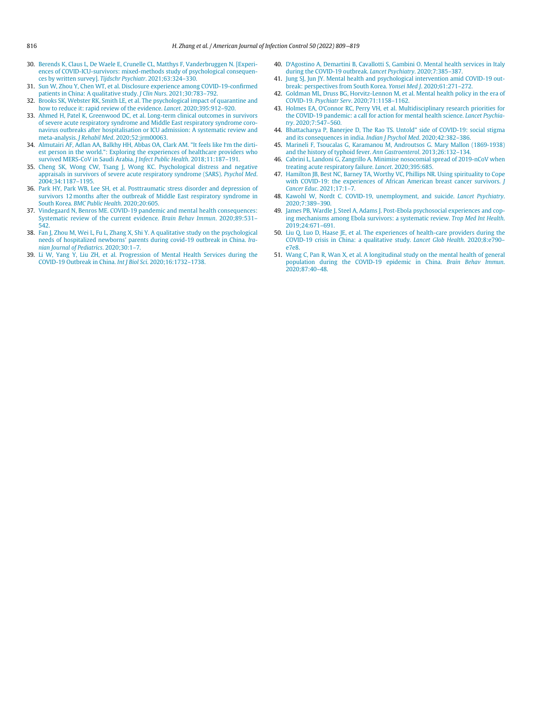- <span id="page-7-8"></span><span id="page-7-1"></span>30. [Berends K, Claus L, De Waele E, Crunelle CL, Matthys F, Vanderbruggen N. \[Experi](http://refhub.elsevier.com/S0196-6553(22)00058-X/sbref0030)[ences of COVID-ICU-survivors: mixed-methods study of psychological consequen](http://refhub.elsevier.com/S0196-6553(22)00058-X/sbref0030)[ces by written survey\].](http://refhub.elsevier.com/S0196-6553(22)00058-X/sbref0030) Tijdschr Psychiatr. 2021;63:324–330.
- <span id="page-7-9"></span><span id="page-7-0"></span>31. [Sun W, Zhou Y, Chen WT, et al. Disclosure experience among COVID-19-con](http://refhub.elsevier.com/S0196-6553(22)00058-X/sbref0031)firmed [patients in China: A qualitative study.](http://refhub.elsevier.com/S0196-6553(22)00058-X/sbref0031) J Clin Nurs. 2021;30:783–792.
- <span id="page-7-10"></span><span id="page-7-2"></span>[Brooks SK, Webster RK, Smith LE, et al. The psychological impact of quarantine and](http://refhub.elsevier.com/S0196-6553(22)00058-X/sbref0032) [how to reduce it: rapid review of the evidence.](http://refhub.elsevier.com/S0196-6553(22)00058-X/sbref0032) Lancet. 2020;395:912-920.
- <span id="page-7-11"></span><span id="page-7-3"></span>33. [Ahmed H, Patel K, Greenwood DC, et al. Long-term clinical outcomes in survivors](http://refhub.elsevier.com/S0196-6553(22)00058-X/sbref0033) [of severe acute respiratory syndrome and Middle East respiratory syndrome coro](http://refhub.elsevier.com/S0196-6553(22)00058-X/sbref0033)[navirus outbreaks after hospitalisation or ICU admission: A systematic review and](http://refhub.elsevier.com/S0196-6553(22)00058-X/sbref0033) meta-analysis. J Rehabil Med[. 2020;52:jrm00063.](http://refhub.elsevier.com/S0196-6553(22)00058-X/sbref0033)
- <span id="page-7-13"></span><span id="page-7-12"></span>34. [Almutairi AF, Adlan AA, Balkhy HH, Abbas OA, Clark AM. "It feels like I](http://refhub.elsevier.com/S0196-6553(22)00058-X/sbref0034)'m the dirti[est person in the world.": Exploring the experiences of healthcare providers who](http://refhub.elsevier.com/S0196-6553(22)00058-X/sbref0034) [survived MERS-CoV in Saudi Arabia.](http://refhub.elsevier.com/S0196-6553(22)00058-X/sbref0034) J Infect Public Health. 2018;11:187–191.
- <span id="page-7-15"></span><span id="page-7-14"></span>35. [Cheng SK, Wong CW, Tsang J, Wong KC. Psychological distress and negative](http://refhub.elsevier.com/S0196-6553(22)00058-X/sbref0035) [appraisals in survivors of severe acute respiratory syndrome \(SARS\).](http://refhub.elsevier.com/S0196-6553(22)00058-X/sbref0035) Psychol Med. [2004;34:1187](http://refhub.elsevier.com/S0196-6553(22)00058-X/sbref0035)–1195.
- <span id="page-7-16"></span><span id="page-7-4"></span>36. [Park HY, Park WB, Lee SH, et al. Posttraumatic stress disorder and depression of](http://refhub.elsevier.com/S0196-6553(22)00058-X/sbref0036) [survivors 12 months after the outbreak of Middle East respiratory syndrome in](http://refhub.elsevier.com/S0196-6553(22)00058-X/sbref0036) South Korea. [BMC Public Health](http://refhub.elsevier.com/S0196-6553(22)00058-X/sbref0036). 2020;20:605.
- <span id="page-7-17"></span><span id="page-7-5"></span>37. [Vindegaard N, Benros ME. COVID-19 pandemic and mental health consequences:](http://refhub.elsevier.com/S0196-6553(22)00058-X/sbref0037) [Systematic review of the current evidence.](http://refhub.elsevier.com/S0196-6553(22)00058-X/sbref0037) Brain Behav Immun. 2020;89:531– [542.](http://refhub.elsevier.com/S0196-6553(22)00058-X/sbref0037)
- <span id="page-7-18"></span><span id="page-7-6"></span>38. [Fan J, Zhou M, Wei L, Fu L, Zhang X, Shi Y. A qualitative study on the psychological](http://refhub.elsevier.com/S0196-6553(22)00058-X/sbref0038) needs of hospitalized newborns' [parents during covid-19 outbreak in China.](http://refhub.elsevier.com/S0196-6553(22)00058-X/sbref0038) Ira[nian Journal of Pediatrics](http://refhub.elsevier.com/S0196-6553(22)00058-X/sbref0038). 2020;30:1–7.
- <span id="page-7-19"></span><span id="page-7-7"></span>39. [Li W, Yang Y, Liu ZH, et al. Progression of Mental Health Services during the](http://refhub.elsevier.com/S0196-6553(22)00058-X/sbref0039) [COVID-19 Outbreak in China.](http://refhub.elsevier.com/S0196-6553(22)00058-X/sbref0039) Int J Biol Sci. 2020;16:1732–1738.
- 40. D'[Agostino A, Demartini B, Cavallotti S, Gambini O. Mental health services in Italy](http://refhub.elsevier.com/S0196-6553(22)00058-X/sbref0040) [during the COVID-19 outbreak.](http://refhub.elsevier.com/S0196-6553(22)00058-X/sbref0040) Lancet Psychiatry. 2020;7:385–387.
- 41. [Jung SJ, Jun JY. Mental health and psychological intervention amid COVID-19 out](http://refhub.elsevier.com/S0196-6553(22)00058-X/sbref0041)[break: perspectives from South Korea.](http://refhub.elsevier.com/S0196-6553(22)00058-X/sbref0041) Yonsei Med J. 2020;61:271–272.
- 42. [Goldman ML, Druss BG, Horvitz-Lennon M, et al. Mental health policy in the era of](http://refhub.elsevier.com/S0196-6553(22)00058-X/sbref0042) COVID-19. Psychiatr Serv[. 2020;71:1158](http://refhub.elsevier.com/S0196-6553(22)00058-X/sbref0042)–1162.
- 43. Holmes EA, O'[Connor RC, Perry VH, et al. Multidisciplinary research priorities for](http://refhub.elsevier.com/S0196-6553(22)00058-X/sbref0043) [the COVID-19 pandemic: a call for action for mental health science.](http://refhub.elsevier.com/S0196-6553(22)00058-X/sbref0043) Lancet Psychiatry[. 2020;7:547](http://refhub.elsevier.com/S0196-6553(22)00058-X/sbref0043)–560.
- 44. [Bhattacharya P, Banerjee D, The Rao TS. Untold" side of COVID-19: social stigma](http://refhub.elsevier.com/S0196-6553(22)00058-X/sbref0044) [and its consequences in india.](http://refhub.elsevier.com/S0196-6553(22)00058-X/sbref0044) Indian J Psychol Med. 2020;42:382–386.
- 45. [Marineli F, Tsoucalas G, Karamanou M, Androutsos G. Mary Mallon \(1869-1938\)](http://refhub.elsevier.com/S0196-6553(22)00058-X/sbref0045) [and the history of typhoid fever.](http://refhub.elsevier.com/S0196-6553(22)00058-X/sbref0045) Ann Gastroenterol. 2013;26:132–134.
- 46. [Cabrini L, Landoni G, Zangrillo A. Minimise nosocomial spread of 2019-nCoV when](http://refhub.elsevier.com/S0196-6553(22)00058-X/sbref0046) [treating acute respiratory failure.](http://refhub.elsevier.com/S0196-6553(22)00058-X/sbref0046) Lancet. 2020;395:685.
- 47. [Hamilton JB, Best NC, Barney TA, Worthy VC, Phillips NR. Using spirituality to Cope](http://refhub.elsevier.com/S0196-6553(22)00058-X/sbref0047) [with COVID-19: the experiences of African American breast cancer survivors.](http://refhub.elsevier.com/S0196-6553(22)00058-X/sbref0047) J [Cancer Educ](http://refhub.elsevier.com/S0196-6553(22)00058-X/sbref0047). 2021;17:1–7.
- 48. [Kawohl W, Nordt C. COVID-19, unemployment, and suicide.](http://refhub.elsevier.com/S0196-6553(22)00058-X/sbref0048) Lancet Psychiatry. [2020;7:389](http://refhub.elsevier.com/S0196-6553(22)00058-X/sbref0048)–390.
- 49. [James PB, Wardle J, Steel A, Adams J. Post-Ebola psychosocial experiences and cop](http://refhub.elsevier.com/S0196-6553(22)00058-X/sbref0049)[ing mechanisms among Ebola survivors: a systematic review.](http://refhub.elsevier.com/S0196-6553(22)00058-X/sbref0049) Trop Med Int Health. [2019;24:671](http://refhub.elsevier.com/S0196-6553(22)00058-X/sbref0049)–691.
- 50. [Liu Q, Luo D, Haase JE, et al. The experiences of health-care providers during the](http://refhub.elsevier.com/S0196-6553(22)00058-X/sbref0050) [COVID-19 crisis in China: a qualitative study.](http://refhub.elsevier.com/S0196-6553(22)00058-X/sbref0050) Lancet Glob Health. 2020;8:e790– [e7e8.](http://refhub.elsevier.com/S0196-6553(22)00058-X/sbref0050)
- 51. [Wang C, Pan R, Wan X, et al. A longitudinal study on the mental health of general](http://refhub.elsevier.com/S0196-6553(22)00058-X/sbref0051) [population during the COVID-19 epidemic in China.](http://refhub.elsevier.com/S0196-6553(22)00058-X/sbref0051) Brain Behav Immun. [2020;87:40](http://refhub.elsevier.com/S0196-6553(22)00058-X/sbref0051)–48.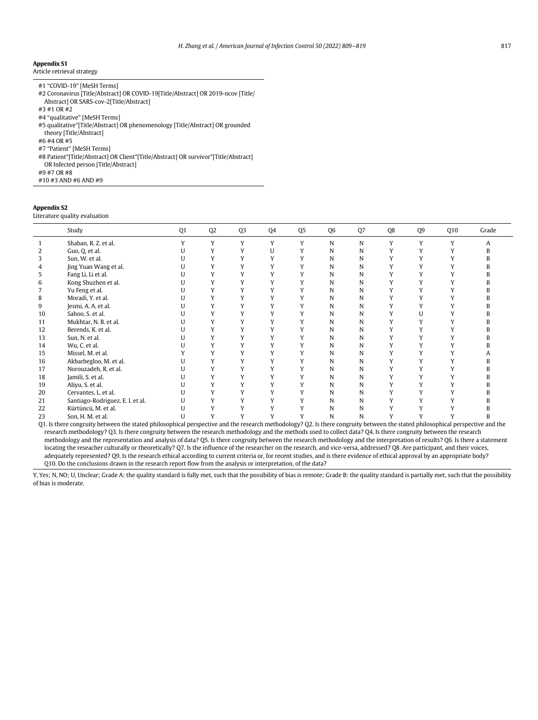## <span id="page-8-0"></span>Appendix S1

Article retrieval strategy

| #1 "COVID-19" [MeSH Terms]                                                       |
|----------------------------------------------------------------------------------|
| #2 Coronavirus [Title/Abstract] OR COVID-19[Title/Abstract] OR 2019-ncov [Title/ |
| Abstract] OR SARS-cov-2[Title/Abstract]                                          |
| #3 #1 OR #2                                                                      |
| #4 "qualitative" [MeSH Terms]                                                    |
| #5 qualitative* [Title/Abstract] OR phenomenology [Title/Abstract] OR grounded   |
| theory [Title/Abstract]                                                          |

#6 #4 OR #5

#7 "Patient" [MeSH Terms]

#8 Patient\*[Title/Abstract] OR Client\*[Title/Abstract] OR survivor\*[Title/Abstract]

OR Infected person [Title/Abstract]

#9 #7 OR #8

#10 #3 AND #6 AND #9

#### <span id="page-8-1"></span>Appendix S2

Literature quality evaluation

|    | Study                            | Q1 | Q <sub>2</sub> | Q <sub>3</sub> | Q4 | Q <sub>5</sub> | Q <sub>6</sub> | Q7 | Q8 | Q9 | Q10 | Grade |
|----|----------------------------------|----|----------------|----------------|----|----------------|----------------|----|----|----|-----|-------|
|    | Shaban, R. Z. et al.             |    | Y              |                | Y  | v              | N              | N  |    |    |     |       |
|    | Guo, Q, et al.                   |    |                |                | U  |                | N              | N  |    |    |     |       |
| 3  | Sun, W. et al.                   |    |                |                |    |                | N              | N  |    |    |     |       |
| 4  | Jing Yuan Wang et al.            |    |                |                |    |                | N              | N  |    |    |     |       |
| 5  | Fang Li, Li et al.               |    |                |                |    |                | N              | N  |    |    |     |       |
| 6  | Kong Shuzhen et al.              |    |                |                |    |                | N              | N  |    |    |     |       |
|    | Yu Feng et al.                   |    |                |                |    |                | N              | N  |    |    |     |       |
| 8  | Moradi, Y. et al.                |    |                |                |    |                | N              | N  |    |    |     |       |
| 9  | Jesmi, A. A. et al.              |    |                |                |    |                | N              | N  |    |    |     |       |
| 10 | Sahoo, S. et al.                 |    |                |                |    |                | N              | N  |    |    |     |       |
| 11 | Mukhtar, N. B. et al.            |    |                |                |    |                | N              | N  |    |    |     |       |
| 12 | Berends, K. et al.               |    |                |                |    |                | N              | N  |    |    |     |       |
| 13 | Sun, N. et al.                   |    |                |                |    |                | N              | N  |    |    |     |       |
| 14 | Wu, C. et al.                    |    |                |                |    |                | N              | N  |    |    |     |       |
| 15 | Missel, M. et al.                |    |                |                |    |                | N              | N  |    |    |     |       |
| 16 | Akbarbegloo, M. et al.           |    |                |                |    |                | N              | N  |    |    |     |       |
| 17 | Norouzadeh, R. et al.            |    |                |                |    |                | N              | N  |    |    |     |       |
| 18 | Jamili, S. et al.                |    |                |                |    |                | N              | N  |    |    |     |       |
| 19 | Aliyu, S. et al.                 |    |                |                |    |                | N              | N  |    |    |     |       |
| 20 | Cervantes, L. et al.             |    |                |                |    |                | N              | N  |    |    |     |       |
| 21 | Santiago-Rodriguez, E. I. et al. |    |                |                |    |                | N              |    |    |    |     |       |
| 22 | Kürtüncü, M. et al.              |    |                |                |    |                | N              |    |    |    |     |       |
| 23 | Son, H. M. et al.                |    |                |                |    |                | N              |    |    |    |     |       |

Q1. Is there congruity between the stated philosophical perspective and the research methodology? Q2. Is there congruity between the stated philosophical perspective and the research methodology? Q3. Is there congruity between the research methodology and the methods used to collect data? Q4. Is there congruity between the research methodology and the representation and analysis of data? Q5. Is there congruity between the research methodology and the interpretation of results? Q6. Is there a statement locating the reseacher culturally or theoretically? Q7. Is the influence of the researcher on the research, and vice-versa, addressed? Q8. Are participant, and their voices, adequately represented? Q9. Is the research ethical according to current criteria or, for recent studies, and is there evidence of ethical approval by an appropriate body? Q10. Do the conclusions drawn in the research report flow from the analysis or interpretation, of the data?

Y, Yes; N, NO; U, Unclear; Grade A: the quality standard is fully met, such that the possibility of bias is remote; Grade B: the quality standard is partially met, such that the possibility of bias is moderate.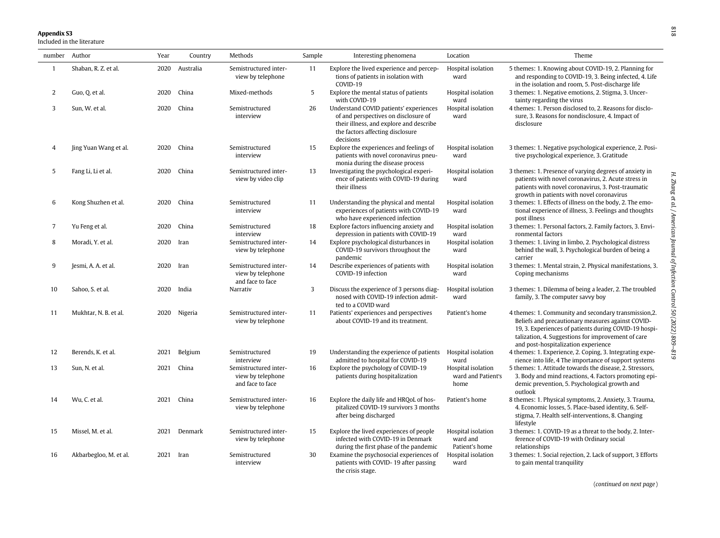# **Appendix S3**<br>Included in the literature

<span id="page-9-0"></span>

| number Author  |                        | Year | Country   | Methods                                                        | Sample     | Interesting phenomena                                                                                                                                                      | Location                                         | Theme                                                                                                                                                                                                                                                            |  |
|----------------|------------------------|------|-----------|----------------------------------------------------------------|------------|----------------------------------------------------------------------------------------------------------------------------------------------------------------------------|--------------------------------------------------|------------------------------------------------------------------------------------------------------------------------------------------------------------------------------------------------------------------------------------------------------------------|--|
| -1             | Shaban, R. Z. et al.   | 2020 | Australia | Semistructured inter-<br>view by telephone                     | 11         | Explore the lived experience and percep-<br>tions of patients in isolation with<br>COVID-19                                                                                | Hospital isolation<br>ward                       | 5 themes: 1. Knowing about COVID-19, 2. Planning for<br>and responding to COVID-19, 3. Being infected, 4. Life<br>in the isolation and room, 5. Post-discharge life                                                                                              |  |
| 2              | Guo, Q. et al.         | 2020 | China     | Mixed-methods                                                  | $\sqrt{5}$ | Explore the mental status of patients<br>with COVID-19                                                                                                                     | Hospital isolation<br>ward                       | 3 themes: 1. Negative emotions, 2. Stigma, 3. Uncer-<br>tainty regarding the virus                                                                                                                                                                               |  |
| 3              | Sun, W. et al.         | 2020 | China     | Semistructured<br>interview                                    | 26         | Understand COVID patients' experiences<br>of and perspectives on disclosure of<br>their illness, and explore and describe<br>the factors affecting disclosure<br>decisions | Hospital isolation<br>ward                       | 4 themes: 1. Person disclosed to, 2. Reasons for disclo-<br>sure, 3. Reasons for nondisclosure, 4. Impact of<br>disclosure                                                                                                                                       |  |
| $\overline{4}$ | Jing Yuan Wang et al.  | 2020 | China     | Semistructured<br>interview                                    | 15         | Explore the experiences and feelings of<br>patients with novel coronavirus pneu-<br>monia during the disease process                                                       | Hospital isolation<br>ward                       | 3 themes: 1. Negative psychological experience, 2. Posi-<br>tive psychological experience, 3. Gratitude                                                                                                                                                          |  |
| 5              | Fang Li, Li et al.     | 2020 | China     | Semistructured inter-<br>view by video clip                    | 13         | Investigating the psychological experi-<br>ence of patients with COVID-19 during<br>their illness                                                                          | Hospital isolation<br>ward                       | 3 themes: 1. Presence of varying degrees of anxiety in<br>patients with novel coronavirus, 2. Acute stress in<br>patients with novel coronavirus, 3. Post-traumatic<br>growth in patients with novel coronavirus                                                 |  |
| 6              | Kong Shuzhen et al.    | 2020 | China     | Semistructured<br>interview                                    | 11         | Understanding the physical and mental<br>experiences of patients with COVID-19<br>who have experienced infection                                                           | Hospital isolation<br>ward                       | 3 themes: 1. Effects of illness on the body, 2. The emo-<br>tional experience of illness, 3. Feelings and thoughts<br>post illness                                                                                                                               |  |
| $\overline{7}$ | Yu Feng et al.         | 2020 | China     | Semistructured<br>interview                                    | 18         | Explore factors influencing anxiety and<br>depression in patients with COVID-19                                                                                            | Hospital isolation<br>ward                       | 3 themes: 1. Personal factors, 2. Family factors, 3. Envi-<br>ronmental factors                                                                                                                                                                                  |  |
| 8              | Moradi. Y. et al.      | 2020 | Iran      | Semistructured inter-<br>view by telephone                     | 14         | Explore psychological disturbances in<br>COVID-19 survivors throughout the<br>pandemic                                                                                     | Hospital isolation<br>ward                       | 3 themes: 1. Living in limbo, 2. Psychological distress<br>behind the wall, 3. Psychological burden of being a<br>carrier                                                                                                                                        |  |
| 9              | Jesmi, A. A. et al.    | 2020 | Iran      | Semistructured inter-<br>view by telephone<br>and face to face | 14         | Describe experiences of patients with<br>COVID-19 infection                                                                                                                | Hospital isolation<br>ward                       | 3 themes: 1. Mental strain, 2. Physical manifestations, 3.<br>Coping mechanisms                                                                                                                                                                                  |  |
| 10             | Sahoo, S. et al.       | 2020 | India     | Narrativ                                                       | 3          | Discuss the experience of 3 persons diag-<br>nosed with COVID-19 infection admit-<br>ted to a COVID ward                                                                   | Hospital isolation<br>ward                       | 3 themes: 1. Dilemma of being a leader, 2. The troubled<br>family, 3. The computer savvy boy                                                                                                                                                                     |  |
| 11             | Mukhtar, N. B. et al.  | 2020 | Nigeria   | Semistructured inter-<br>view by telephone                     | 11         | Patients' experiences and perspectives<br>about COVID-19 and its treatment.                                                                                                | Patient's home                                   | 4 themes: 1. Community and secondary transmission, 2.<br>Beliefs and precautionary measures against COVID-<br>19, 3. Experiences of patients during COVID-19 hospi-<br>talization, 4. Suggestions for improvement of care<br>and post-hospitalization experience |  |
| 12             | Berends, K. et al.     | 2021 | Belgium   | Semistructured<br>interview                                    | 19         | Understanding the experience of patients<br>admitted to hospital for COVID-19                                                                                              | Hospital isolation<br>ward                       | 4 themes: 1. Experience, 2. Coping, 3. Integrating expe-<br>rience into life, 4 The importance of support systems                                                                                                                                                |  |
| 13             | Sun, N. et al.         | 2021 | China     | Semistructured inter-<br>view by telephone<br>and face to face | 16         | Explore the psychology of COVID-19<br>patients during hospitalization                                                                                                      | Hospital isolation<br>ward and Patient's<br>home | 5 themes: 1. Attitude towards the disease, 2. Stressors,<br>3. Body and mind reactions, 4. Factors promoting epi-<br>demic prevention, 5. Psychological growth and<br>outlook                                                                                    |  |
| 14             | Wu, C. et al.          | 2021 | China     | Semistructured inter-<br>view by telephone                     | 16         | Explore the daily life and HRQoL of hos-<br>pitalized COVID-19 survivors 3 months<br>after being discharged                                                                | Patient's home                                   | 8 themes: 1. Physical symptoms, 2. Anxiety, 3. Trauma,<br>4. Economic losses, 5. Place-based identity, 6. Self-<br>stigma, 7. Health self-interventions, 8. Changing<br>lifestyle                                                                                |  |
| 15             | Missel, M. et al.      | 2021 | Denmark   | Semistructured inter-<br>view by telephone                     | 15         | Explore the lived experiences of people<br>infected with COVID-19 in Denmark<br>during the first phase of the pandemic                                                     | Hospital isolation<br>ward and<br>Patient's home | 3 themes: 1. COVID-19 as a threat to the body, 2. Inter-<br>ference of COVID-19 with Ordinary social<br>relationships                                                                                                                                            |  |
| 16             | Akbarbegloo, M. et al. | 2021 | Iran      | Semistructured<br>interview                                    | 30         | Examine the psychosocial experiences of<br>patients with COVID-19 after passing<br>the crisis stage.                                                                       | Hospital isolation<br>ward                       | 3 themes: 1. Social rejection, 2. Lack of support, 3 Efforts<br>to gain mental tranquility                                                                                                                                                                       |  |